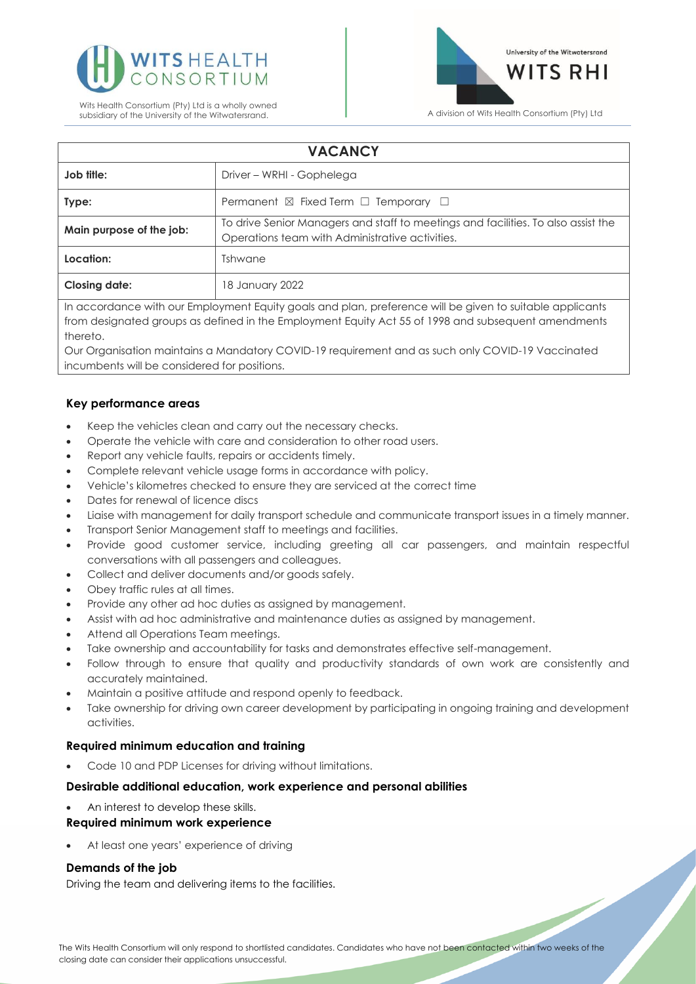



| <b>VACANCY</b>           |                                                                                                                                      |
|--------------------------|--------------------------------------------------------------------------------------------------------------------------------------|
| Job title:               | Driver – WRHI - Gophelega                                                                                                            |
| Type:                    | Permanent $\boxtimes$ Fixed Term $\Box$ Temporary $\Box$                                                                             |
| Main purpose of the job: | To drive Senior Managers and staff to meetings and facilities. To also assist the<br>Operations team with Administrative activities. |
| Location:                | Tshwane                                                                                                                              |
| <b>Closing date:</b>     | 18 January 2022                                                                                                                      |

In accordance with our Employment Equity goals and plan, preference will be given to suitable applicants from designated groups as defined in the Employment Equity Act 55 of 1998 and subsequent amendments thereto.

Our Organisation maintains a Mandatory COVID-19 requirement and as such only COVID-19 Vaccinated incumbents will be considered for positions.

# **Key performance areas**

- Keep the vehicles clean and carry out the necessary checks.
- Operate the vehicle with care and consideration to other road users.
- Report any vehicle faults, repairs or accidents timely.
- Complete relevant vehicle usage forms in accordance with policy.
- Vehicle's kilometres checked to ensure they are serviced at the correct time
- Dates for renewal of licence discs
- Liaise with management for daily transport schedule and communicate transport issues in a timely manner.
- Transport Senior Management staff to meetings and facilities.
- Provide good customer service, including greeting all car passengers, and maintain respectful conversations with all passengers and colleagues.
- Collect and deliver documents and/or goods safely.
- Obey traffic rules at all times.
- Provide any other ad hoc duties as assigned by management.
- Assist with ad hoc administrative and maintenance duties as assigned by management.
- Attend all Operations Team meetings.
- Take ownership and accountability for tasks and demonstrates effective self-management.
- Follow through to ensure that quality and productivity standards of own work are consistently and accurately maintained.
- Maintain a positive attitude and respond openly to feedback.
- Take ownership for driving own career development by participating in ongoing training and development activities.

# **Required minimum education and training**

• Code 10 and PDP Licenses for driving without limitations.

# **Desirable additional education, work experience and personal abilities**

• An interest to develop these skills.

# **Required minimum work experience**

At least one years' experience of driving

# **Demands of the job**

Driving the team and delivering items to the facilities.